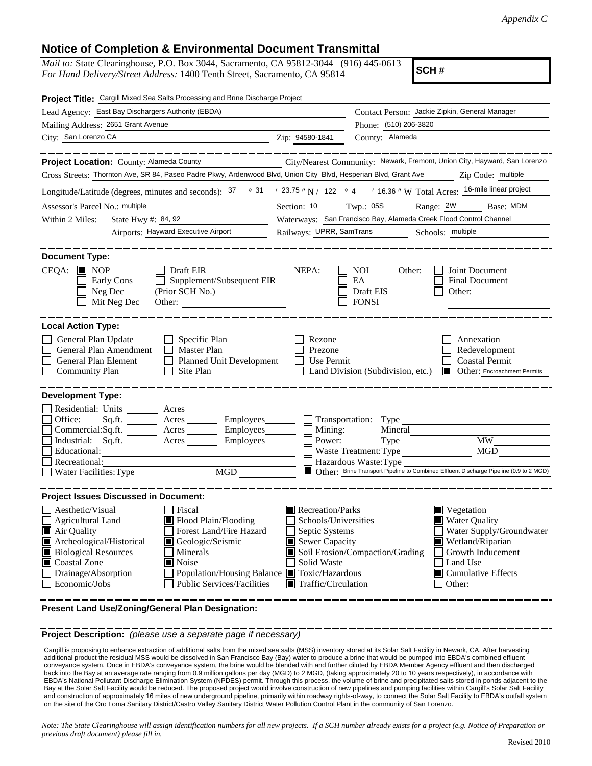## **Notice of Completion & Environmental Document Transmittal**

*Mail to:* State Clearinghouse, P.O. Box 3044, Sacramento, CA 95812-3044 (916) 445-0613 *For Hand Delivery/Street Address:* 1400 Tenth Street, Sacramento, CA 95814

**SCH #**

| Project Title: Cargill Mixed Sea Salts Processing and Brine Discharge Project                                                                                                                                                                                                    |                                                                                                                                                                                                                                                                                                                                                                                                                                                                                                     |
|----------------------------------------------------------------------------------------------------------------------------------------------------------------------------------------------------------------------------------------------------------------------------------|-----------------------------------------------------------------------------------------------------------------------------------------------------------------------------------------------------------------------------------------------------------------------------------------------------------------------------------------------------------------------------------------------------------------------------------------------------------------------------------------------------|
| Lead Agency: East Bay Dischargers Authority (EBDA)                                                                                                                                                                                                                               | Contact Person: Jackie Zipkin, General Manager                                                                                                                                                                                                                                                                                                                                                                                                                                                      |
| Mailing Address: 2651 Grant Avenue                                                                                                                                                                                                                                               | Phone: (510) 206-3820                                                                                                                                                                                                                                                                                                                                                                                                                                                                               |
| City: San Lorenzo CA<br>Zip: 94580-1841                                                                                                                                                                                                                                          | County: Alameda                                                                                                                                                                                                                                                                                                                                                                                                                                                                                     |
| Project Location: County: Alameda County<br>Cross Streets: Thornton Ave, SR 84, Paseo Padre Pkwy, Ardenwood Blvd, Union City Blvd, Hesperian Blvd, Grant Ave<br>Assessor's Parcel No.: multiple<br>State Hwy #: 84, 92<br>Within 2 Miles:<br>Airports: Hayward Executive Airport | City/Nearest Community: Newark, Fremont, Union City, Hayward, San Lorenzo<br>Zip Code: multiple<br>Longitude/Latitude (degrees, minutes and seconds): $\frac{37}{100}$ $\frac{31}{100}$ $\frac{123.75}{100}$ N / 122 $\degree$ 4 $\degree$ 16.36 $\degree$ W Total Acres: $\frac{16\text{-mile linear project}}{25.75}$<br>Twp.: 05S<br>Range: 2W<br>Section: 10<br>Base: MDM<br>Waterways: San Francisco Bay, Alameda Creek Flood Control Channel<br>Railways: UPRR, SamTrans<br>Schools: multiple |
| <b>Document Type:</b>                                                                                                                                                                                                                                                            |                                                                                                                                                                                                                                                                                                                                                                                                                                                                                                     |
| $CEQA:$ MOP<br>$\Box$ Draft EIR<br>$\Box$ Supplement/Subsequent EIR<br>Early Cons<br>$\Box$ Neg Dec<br>Mit Neg Dec<br>Other:                                                                                                                                                     | NEPA:<br><b>NOI</b><br>Other:<br>Joint Document<br>EA<br><b>Final Document</b><br>Draft EIS<br>Other:<br><b>FONSI</b>                                                                                                                                                                                                                                                                                                                                                                               |
| <b>Local Action Type:</b>                                                                                                                                                                                                                                                        |                                                                                                                                                                                                                                                                                                                                                                                                                                                                                                     |
| General Plan Update<br>$\Box$ Specific Plan<br>$\Box$ Master Plan<br>$\mathcal{L}$<br>General Plan Amendment<br>General Plan Element<br>Planned Unit Development<br>Community Plan<br>$\Box$ Site Plan                                                                           | Rezone<br>Annexation<br>Prezone<br>Redevelopment<br>Use Permit<br><b>Coastal Permit</b><br>Land Division (Subdivision, etc.)<br><b>Other:</b> Encroachment Permits                                                                                                                                                                                                                                                                                                                                  |
| <b>Development Type:</b><br>Residential: Units _______ Acres<br>Office:<br>Commercial:Sq.ft. ________ Acres _________ Employees_______<br>Industrial: Sq.ft. Acres Employees<br>$\Box$<br>Educational:<br>Recreational:<br>MGD NGC<br>Water Facilities: Type                     | Sq.ft. Acres Employees Transportation: Type<br>$\Box$ Mining:<br>Mineral<br>Type MW<br>Power:<br>MGD<br>Waste Treatment: Type<br>Hazardous Waste: Type<br>Other: Brine Transport Pipeline to Combined Effluent Discharge Pipeline (0.9 to 2 MGD)                                                                                                                                                                                                                                                    |
| <b>Project Issues Discussed in Document:</b><br>Aesthetic/Visual<br>Fiscal<br>Agricultural Land<br>Flood Plain/Flooding<br>Forest Land/Fire Hazard<br>Air Quality                                                                                                                | Recreation/Parks<br>■ Vegetation<br>■ Water Quality<br>Schools/Universities<br>Water Supply/Groundwater<br>$\Box$ Septic Systems                                                                                                                                                                                                                                                                                                                                                                    |
| Archeological/Historical<br>Geologic/Seismic<br><b>Biological Resources</b><br>Minerals<br>Coastal Zone<br>$\blacksquare$ Noise<br>Population/Housing Balance Toxic/Hazardous<br>$\Box$ Drainage/Absorption<br>Economic/Jobs<br><b>Public Services/Facilities</b>                | Wetland/Riparian<br>Sewer Capacity<br>Soil Erosion/Compaction/Grading<br>Growth Inducement<br>Solid Waste<br>Land Use<br>$\blacksquare$ Cumulative Effects<br>$\blacksquare$ Traffic/Circulation<br>$\Box$ Other:                                                                                                                                                                                                                                                                                   |

**Present Land Use/Zoning/General Plan Designation:**

**Project Description:** *(please use a separate page if necessary)*

 Cargill is proposing to enhance extraction of additional salts from the mixed sea salts (MSS) inventory stored at its Solar Salt Facility in Newark, CA. After harvesting additional product the residual MSS would be dissolved in San Francisco Bay (Bay) water to produce a brine that would be pumped into EBDA's combined effluent conveyance system. Once in EBDA's conveyance system, the brine would be blended with and further diluted by EBDA Member Agency effluent and then discharged back into the Bay at an average rate ranging from 0.9 million gallons per day (MGD) to 2 MGD, (taking approximately 20 to 10 years respectively), in accordance with EBDA's National Pollutant Discharge Elimination System (NPDES) permit. Through this process, the volume of brine and precipitated salts stored in ponds adjacent to the Bay at the Solar Salt Facility would be reduced. The proposed project would involve construction of new pipelines and pumping facilities within Cargill's Solar Salt Facility and construction of approximately 16 miles of new underground pipeline, primarily within roadway rights-of-way, to connect the Solar Salt Facility to EBDA's outfall system on the site of the Oro Loma Sanitary District/Castro Valley Sanitary District Water Pollution Control Plant in the community of San Lorenzo.

*Note: The State Clearinghouse will assign identification numbers for all new projects. If a SCH number already exists for a project (e.g. Notice of Preparation or previous draft document) please fill in.*